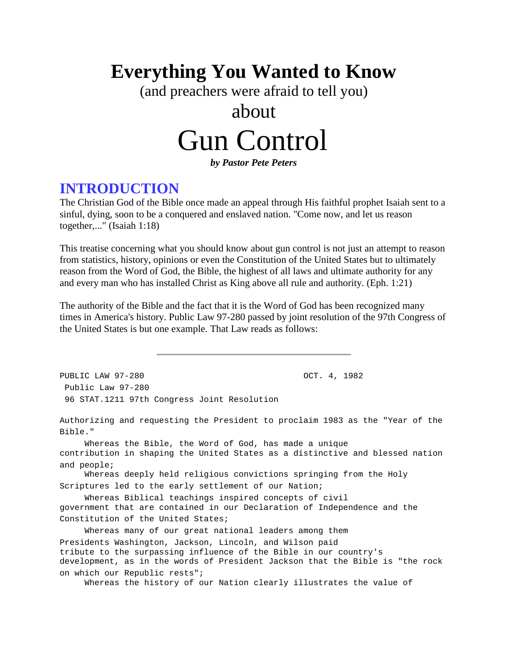## **Everything You Wanted to Know**

(and preachers were afraid to tell you)

## about

# Gun Control

*by Pastor Pete Peters*

### **INTRODUCTION**

The Christian God of the Bible once made an appeal through His faithful prophet Isaiah sent to a sinful, dying, soon to be a conquered and enslaved nation. "Come now, and let us reason together,..." (Isaiah 1:18)

This treatise concerning what you should know about gun control is not just an attempt to reason from statistics, history, opinions or even the Constitution of the United States but to ultimately reason from the Word of God, the Bible, the highest of all laws and ultimate authority for any and every man who has installed Christ as King above all rule and authority. (Eph. 1:21)

The authority of the Bible and the fact that it is the Word of God has been recognized many times in America's history. Public Law 97-280 passed by joint resolution of the 97th Congress of the United States is but one example. That Law reads as follows:

PUBLIC LAW 97-280 OCT. 4, 1982 Public Law 97-280 96 STAT.1211 97th Congress Joint Resolution Authorizing and requesting the President to proclaim 1983 as the "Year of the Bible." Whereas the Bible, the Word of God, has made a unique contribution in shaping the United States as a distinctive and blessed nation and people; Whereas deeply held religious convictions springing from the Holy Scriptures led to the early settlement of our Nation; Whereas Biblical teachings inspired concepts of civil government that are contained in our Declaration of Independence and the Constitution of the United States; Whereas many of our great national leaders among them Presidents Washington, Jackson, Lincoln, and Wilson paid tribute to the surpassing influence of the Bible in our country's development, as in the words of President Jackson that the Bible is "the rock on which our Republic rests"; Whereas the history of our Nation clearly illustrates the value of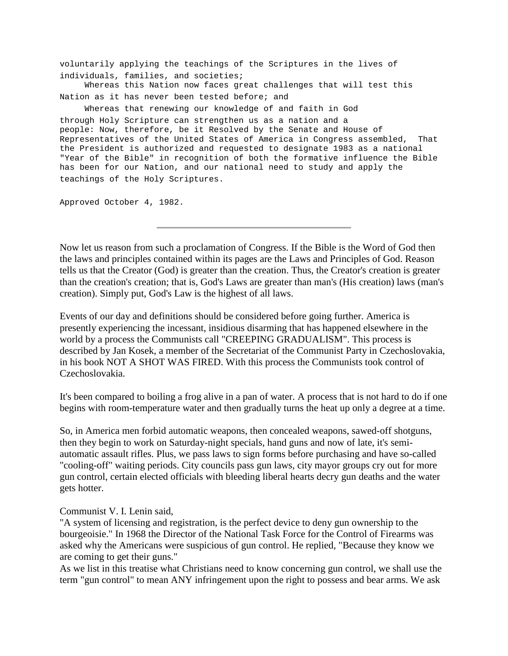voluntarily applying the teachings of the Scriptures in the lives of individuals, families, and societies; Whereas this Nation now faces great challenges that will test this Nation as it has never been tested before; and Whereas that renewing our knowledge of and faith in God through Holy Scripture can strengthen us as a nation and a people: Now, therefore, be it Resolved by the Senate and House of Representatives of the United States of America in Congress assembled, That the President is authorized and requested to designate 1983 as a national "Year of the Bible" in recognition of both the formative influence the Bible has been for our Nation, and our national need to study and apply the teachings of the Holy Scriptures.

Approved October 4, 1982.

Now let us reason from such a proclamation of Congress. If the Bible is the Word of God then the laws and principles contained within its pages are the Laws and Principles of God. Reason tells us that the Creator (God) is greater than the creation. Thus, the Creator's creation is greater than the creation's creation; that is, God's Laws are greater than man's (His creation) laws (man's creation). Simply put, God's Law is the highest of all laws.

Events of our day and definitions should be considered before going further. America is presently experiencing the incessant, insidious disarming that has happened elsewhere in the world by a process the Communists call "CREEPING GRADUALISM". This process is described by Jan Kosek, a member of the Secretariat of the Communist Party in Czechoslovakia, in his book NOT A SHOT WAS FIRED. With this process the Communists took control of Czechoslovakia.

It's been compared to boiling a frog alive in a pan of water. A process that is not hard to do if one begins with room-temperature water and then gradually turns the heat up only a degree at a time.

So, in America men forbid automatic weapons, then concealed weapons, sawed-off shotguns, then they begin to work on Saturday-night specials, hand guns and now of late, it's semiautomatic assault rifles. Plus, we pass laws to sign forms before purchasing and have so-called "cooling-off" waiting periods. City councils pass gun laws, city mayor groups cry out for more gun control, certain elected officials with bleeding liberal hearts decry gun deaths and the water gets hotter.

Communist V. I. Lenin said,

"A system of licensing and registration, is the perfect device to deny gun ownership to the bourgeoisie." In 1968 the Director of the National Task Force for the Control of Firearms was asked why the Americans were suspicious of gun control. He replied, "Because they know we are coming to get their guns."

As we list in this treatise what Christians need to know concerning gun control, we shall use the term "gun control" to mean ANY infringement upon the right to possess and bear arms. We ask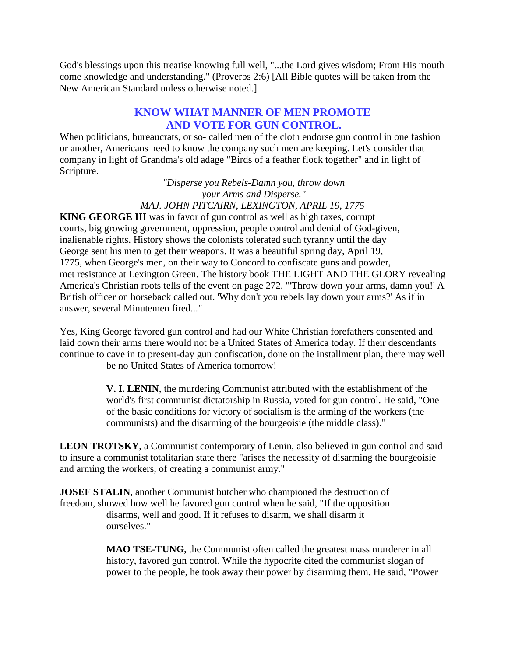God's blessings upon this treatise knowing full well, "...the Lord gives wisdom; From His mouth come knowledge and understanding." (Proverbs 2:6) [All Bible quotes will be taken from the New American Standard unless otherwise noted.]

#### **KNOW WHAT MANNER OF MEN PROMOTE AND VOTE FOR GUN CONTROL.**

When politicians, bureaucrats, or so- called men of the cloth endorse gun control in one fashion or another, Americans need to know the company such men are keeping. Let's consider that company in light of Grandma's old adage "Birds of a feather flock together" and in light of Scripture.

> *"Disperse you Rebels-Damn you, throw down your Arms and Disperse." MAJ. JOHN PITCAIRN, LEXINGTON, APRIL 19, 1775*

**KING GEORGE III** was in favor of gun control as well as high taxes, corrupt courts, big growing government, oppression, people control and denial of God-given, inalienable rights. History shows the colonists tolerated such tyranny until the day George sent his men to get their weapons. It was a beautiful spring day, April 19, 1775, when George's men, on their way to Concord to confiscate guns and powder, met resistance at Lexington Green. The history book THE LIGHT AND THE GLORY revealing America's Christian roots tells of the event on page 272, "'Throw down your arms, damn you!' A British officer on horseback called out. 'Why don't you rebels lay down your arms?' As if in answer, several Minutemen fired..."

Yes, King George favored gun control and had our White Christian forefathers consented and laid down their arms there would not be a United States of America today. If their descendants continue to cave in to present-day gun confiscation, done on the installment plan, there may well be no United States of America tomorrow!

> **V. I. LENIN**, the murdering Communist attributed with the establishment of the world's first communist dictatorship in Russia, voted for gun control. He said, "One of the basic conditions for victory of socialism is the arming of the workers (the communists) and the disarming of the bourgeoisie (the middle class)."

**LEON TROTSKY**, a Communist contemporary of Lenin, also believed in gun control and said to insure a communist totalitarian state there "arises the necessity of disarming the bourgeoisie and arming the workers, of creating a communist army."

**JOSEF STALIN**, another Communist butcher who championed the destruction of freedom, showed how well he favored gun control when he said, "If the opposition disarms, well and good. If it refuses to disarm, we shall disarm it ourselves."

> **MAO TSE-TUNG**, the Communist often called the greatest mass murderer in all history, favored gun control. While the hypocrite cited the communist slogan of power to the people, he took away their power by disarming them. He said, "Power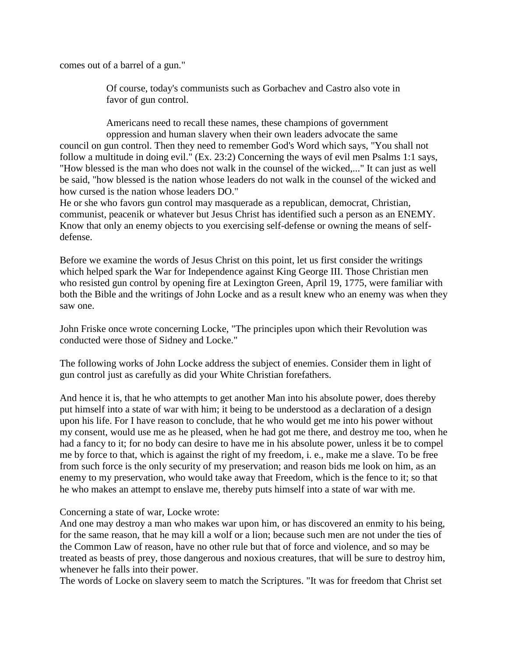comes out of a barrel of a gun."

Of course, today's communists such as Gorbachev and Castro also vote in favor of gun control.

Americans need to recall these names, these champions of government oppression and human slavery when their own leaders advocate the same

council on gun control. Then they need to remember God's Word which says, "You shall not follow a multitude in doing evil." (Ex. 23:2) Concerning the ways of evil men Psalms 1:1 says, "How blessed is the man who does not walk in the counsel of the wicked,..." It can just as well be said, "how blessed is the nation whose leaders do not walk in the counsel of the wicked and how cursed is the nation whose leaders DO."

He or she who favors gun control may masquerade as a republican, democrat, Christian, communist, peacenik or whatever but Jesus Christ has identified such a person as an ENEMY. Know that only an enemy objects to you exercising self-defense or owning the means of selfdefense.

Before we examine the words of Jesus Christ on this point, let us first consider the writings which helped spark the War for Independence against King George III. Those Christian men who resisted gun control by opening fire at Lexington Green, April 19, 1775, were familiar with both the Bible and the writings of John Locke and as a result knew who an enemy was when they saw one.

John Friske once wrote concerning Locke, "The principles upon which their Revolution was conducted were those of Sidney and Locke."

The following works of John Locke address the subject of enemies. Consider them in light of gun control just as carefully as did your White Christian forefathers.

And hence it is, that he who attempts to get another Man into his absolute power, does thereby put himself into a state of war with him; it being to be understood as a declaration of a design upon his life. For I have reason to conclude, that he who would get me into his power without my consent, would use me as he pleased, when he had got me there, and destroy me too, when he had a fancy to it; for no body can desire to have me in his absolute power, unless it be to compel me by force to that, which is against the right of my freedom, i. e., make me a slave. To be free from such force is the only security of my preservation; and reason bids me look on him, as an enemy to my preservation, who would take away that Freedom, which is the fence to it; so that he who makes an attempt to enslave me, thereby puts himself into a state of war with me.

Concerning a state of war, Locke wrote:

And one may destroy a man who makes war upon him, or has discovered an enmity to his being, for the same reason, that he may kill a wolf or a lion; because such men are not under the ties of the Common Law of reason, have no other rule but that of force and violence, and so may be treated as beasts of prey, those dangerous and noxious creatures, that will be sure to destroy him, whenever he falls into their power.

The words of Locke on slavery seem to match the Scriptures. "It was for freedom that Christ set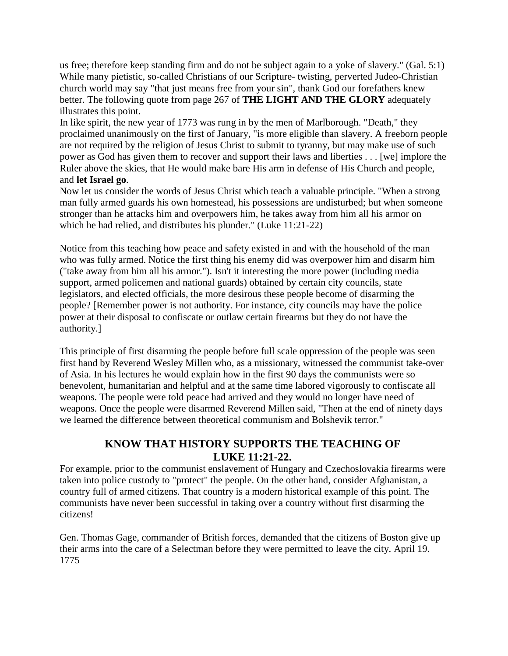us free; therefore keep standing firm and do not be subject again to a yoke of slavery." (Gal. 5:1) While many pietistic, so-called Christians of our Scripture- twisting, perverted Judeo-Christian church world may say "that just means free from your sin", thank God our forefathers knew better. The following quote from page 267 of **THE LIGHT AND THE GLORY** adequately illustrates this point.

In like spirit, the new year of 1773 was rung in by the men of Marlborough. "Death," they proclaimed unanimously on the first of January, "is more eligible than slavery. A freeborn people are not required by the religion of Jesus Christ to submit to tyranny, but may make use of such power as God has given them to recover and support their laws and liberties . . . [we] implore the Ruler above the skies, that He would make bare His arm in defense of His Church and people, and **let Israel go**.

Now let us consider the words of Jesus Christ which teach a valuable principle. "When a strong man fully armed guards his own homestead, his possessions are undisturbed; but when someone stronger than he attacks him and overpowers him, he takes away from him all his armor on which he had relied, and distributes his plunder." (Luke 11:21-22)

Notice from this teaching how peace and safety existed in and with the household of the man who was fully armed. Notice the first thing his enemy did was overpower him and disarm him ("take away from him all his armor."). Isn't it interesting the more power (including media support, armed policemen and national guards) obtained by certain city councils, state legislators, and elected officials, the more desirous these people become of disarming the people? [Remember power is not authority. For instance, city councils may have the police power at their disposal to confiscate or outlaw certain firearms but they do not have the authority.]

This principle of first disarming the people before full scale oppression of the people was seen first hand by Reverend Wesley Millen who, as a missionary, witnessed the communist take-over of Asia. In his lectures he would explain how in the first 90 days the communists were so benevolent, humanitarian and helpful and at the same time labored vigorously to confiscate all weapons. The people were told peace had arrived and they would no longer have need of weapons. Once the people were disarmed Reverend Millen said, "Then at the end of ninety days we learned the difference between theoretical communism and Bolshevik terror."

#### **KNOW THAT HISTORY SUPPORTS THE TEACHING OF LUKE 11:21-22.**

For example, prior to the communist enslavement of Hungary and Czechoslovakia firearms were taken into police custody to "protect" the people. On the other hand, consider Afghanistan, a country full of armed citizens. That country is a modern historical example of this point. The communists have never been successful in taking over a country without first disarming the citizens!

Gen. Thomas Gage, commander of British forces, demanded that the citizens of Boston give up their arms into the care of a Selectman before they were permitted to leave the city. April 19. 1775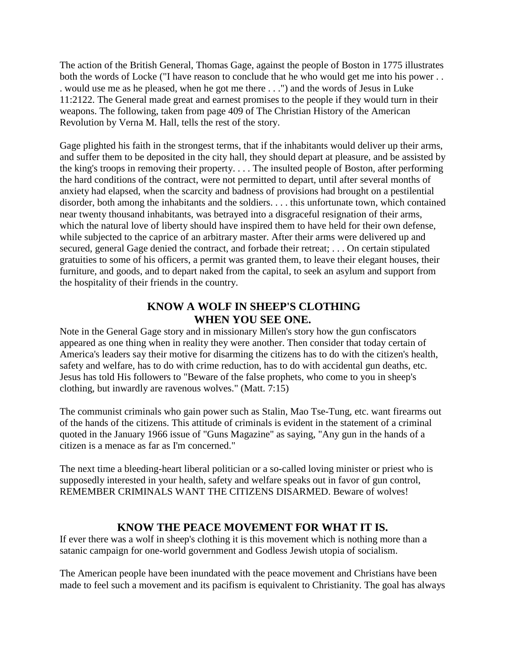The action of the British General, Thomas Gage, against the people of Boston in 1775 illustrates both the words of Locke ("I have reason to conclude that he who would get me into his power . . . would use me as he pleased, when he got me there . . .") and the words of Jesus in Luke 11:2122. The General made great and earnest promises to the people if they would turn in their weapons. The following, taken from page 409 of The Christian History of the American Revolution by Verna M. Hall, tells the rest of the story.

Gage plighted his faith in the strongest terms, that if the inhabitants would deliver up their arms, and suffer them to be deposited in the city hall, they should depart at pleasure, and be assisted by the king's troops in removing their property. . . . The insulted people of Boston, after performing the hard conditions of the contract, were not permitted to depart, until after several months of anxiety had elapsed, when the scarcity and badness of provisions had brought on a pestilential disorder, both among the inhabitants and the soldiers. . . . this unfortunate town, which contained near twenty thousand inhabitants, was betrayed into a disgraceful resignation of their arms, which the natural love of liberty should have inspired them to have held for their own defense, while subjected to the caprice of an arbitrary master. After their arms were delivered up and secured, general Gage denied the contract, and forbade their retreat; . . . On certain stipulated gratuities to some of his officers, a permit was granted them, to leave their elegant houses, their furniture, and goods, and to depart naked from the capital, to seek an asylum and support from the hospitality of their friends in the country.

#### **KNOW A WOLF IN SHEEP'S CLOTHING WHEN YOU SEE ONE.**

Note in the General Gage story and in missionary Millen's story how the gun confiscators appeared as one thing when in reality they were another. Then consider that today certain of America's leaders say their motive for disarming the citizens has to do with the citizen's health, safety and welfare, has to do with crime reduction, has to do with accidental gun deaths, etc. Jesus has told His followers to "Beware of the false prophets, who come to you in sheep's clothing, but inwardly are ravenous wolves." (Matt. 7:15)

The communist criminals who gain power such as Stalin, Mao Tse-Tung, etc. want firearms out of the hands of the citizens. This attitude of criminals is evident in the statement of a criminal quoted in the January 1966 issue of "Guns Magazine" as saying, "Any gun in the hands of a citizen is a menace as far as I'm concerned."

The next time a bleeding-heart liberal politician or a so-called loving minister or priest who is supposedly interested in your health, safety and welfare speaks out in favor of gun control, REMEMBER CRIMINALS WANT THE CITIZENS DISARMED. Beware of wolves!

#### **KNOW THE PEACE MOVEMENT FOR WHAT IT IS.**

If ever there was a wolf in sheep's clothing it is this movement which is nothing more than a satanic campaign for one-world government and Godless Jewish utopia of socialism.

The American people have been inundated with the peace movement and Christians have been made to feel such a movement and its pacifism is equivalent to Christianity. The goal has always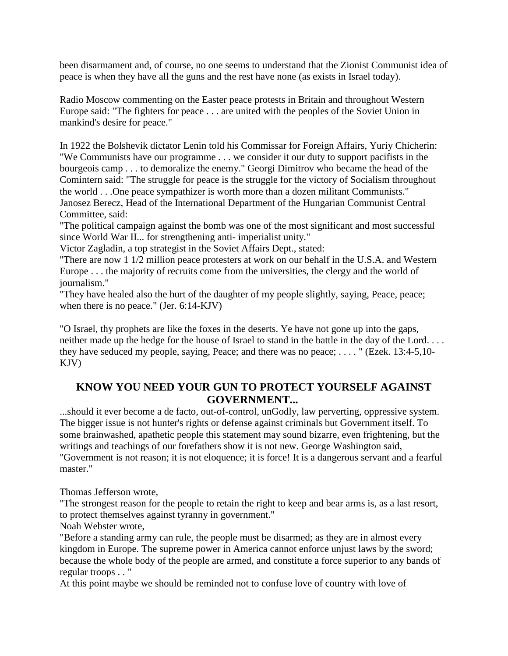been disarmament and, of course, no one seems to understand that the Zionist Communist idea of peace is when they have all the guns and the rest have none (as exists in Israel today).

Radio Moscow commenting on the Easter peace protests in Britain and throughout Western Europe said: "The fighters for peace . . . are united with the peoples of the Soviet Union in mankind's desire for peace."

In 1922 the Bolshevik dictator Lenin told his Commissar for Foreign Affairs, Yuriy Chicherin: "We Communists have our programme . . . we consider it our duty to support pacifists in the bourgeois camp . . . to demoralize the enemy." Georgi Dimitrov who became the head of the Comintern said: "The struggle for peace is the struggle for the victory of Socialism throughout the world . . .One peace sympathizer is worth more than a dozen militant Communists." Janosez Berecz, Head of the International Department of the Hungarian Communist Central Committee, said:

"The political campaign against the bomb was one of the most significant and most successful since World War II... for strengthening anti- imperialist unity."

Victor Zagladin, a top strategist in the Soviet Affairs Dept., stated:

"There are now 1 1/2 million peace protesters at work on our behalf in the U.S.A. and Western Europe . . . the majority of recruits come from the universities, the clergy and the world of journalism."

"They have healed also the hurt of the daughter of my people slightly, saying, Peace, peace; when there is no peace." (Jer. 6:14-KJV)

"O Israel, thy prophets are like the foxes in the deserts. Ye have not gone up into the gaps, neither made up the hedge for the house of Israel to stand in the battle in the day of the Lord. . . . they have seduced my people, saying, Peace; and there was no peace; . . . . " (Ezek. 13:4-5,10- KJV)

#### **KNOW YOU NEED YOUR GUN TO PROTECT YOURSELF AGAINST GOVERNMENT...**

...should it ever become a de facto, out-of-control, unGodly, law perverting, oppressive system. The bigger issue is not hunter's rights or defense against criminals but Government itself. To some brainwashed, apathetic people this statement may sound bizarre, even frightening, but the writings and teachings of our forefathers show it is not new. George Washington said, "Government is not reason; it is not eloquence; it is force! It is a dangerous servant and a fearful master."

Thomas Jefferson wrote,

"The strongest reason for the people to retain the right to keep and bear arms is, as a last resort, to protect themselves against tyranny in government."

Noah Webster wrote,

"Before a standing army can rule, the people must be disarmed; as they are in almost every kingdom in Europe. The supreme power in America cannot enforce unjust laws by the sword; because the whole body of the people are armed, and constitute a force superior to any bands of regular troops . . "

At this point maybe we should be reminded not to confuse love of country with love of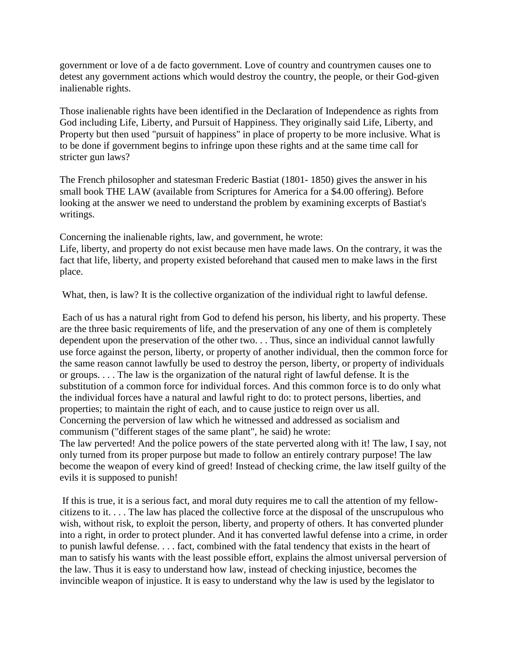government or love of a de facto government. Love of country and countrymen causes one to detest any government actions which would destroy the country, the people, or their God-given inalienable rights.

Those inalienable rights have been identified in the Declaration of Independence as rights from God including Life, Liberty, and Pursuit of Happiness. They originally said Life, Liberty, and Property but then used "pursuit of happiness" in place of property to be more inclusive. What is to be done if government begins to infringe upon these rights and at the same time call for stricter gun laws?

The French philosopher and statesman Frederic Bastiat (1801- 1850) gives the answer in his small book THE LAW (available from Scriptures for America for a \$4.00 offering). Before looking at the answer we need to understand the problem by examining excerpts of Bastiat's writings.

Concerning the inalienable rights, law, and government, he wrote:

Life, liberty, and property do not exist because men have made laws. On the contrary, it was the fact that life, liberty, and property existed beforehand that caused men to make laws in the first place.

What, then, is law? It is the collective organization of the individual right to lawful defense.

Each of us has a natural right from God to defend his person, his liberty, and his property. These are the three basic requirements of life, and the preservation of any one of them is completely dependent upon the preservation of the other two. . . Thus, since an individual cannot lawfully use force against the person, liberty, or property of another individual, then the common force for the same reason cannot lawfully be used to destroy the person, liberty, or property of individuals or groups. . . . The law is the organization of the natural right of lawful defense. It is the substitution of a common force for individual forces. And this common force is to do only what the individual forces have a natural and lawful right to do: to protect persons, liberties, and properties; to maintain the right of each, and to cause justice to reign over us all. Concerning the perversion of law which he witnessed and addressed as socialism and communism ("different stages of the same plant", he said) he wrote: The law perverted! And the police powers of the state perverted along with it! The law, I say, not

only turned from its proper purpose but made to follow an entirely contrary purpose! The law become the weapon of every kind of greed! Instead of checking crime, the law itself guilty of the evils it is supposed to punish!

If this is true, it is a serious fact, and moral duty requires me to call the attention of my fellowcitizens to it. . . . The law has placed the collective force at the disposal of the unscrupulous who wish, without risk, to exploit the person, liberty, and property of others. It has converted plunder into a right, in order to protect plunder. And it has converted lawful defense into a crime, in order to punish lawful defense. . . . fact, combined with the fatal tendency that exists in the heart of man to satisfy his wants with the least possible effort, explains the almost universal perversion of the law. Thus it is easy to understand how law, instead of checking injustice, becomes the invincible weapon of injustice. It is easy to understand why the law is used by the legislator to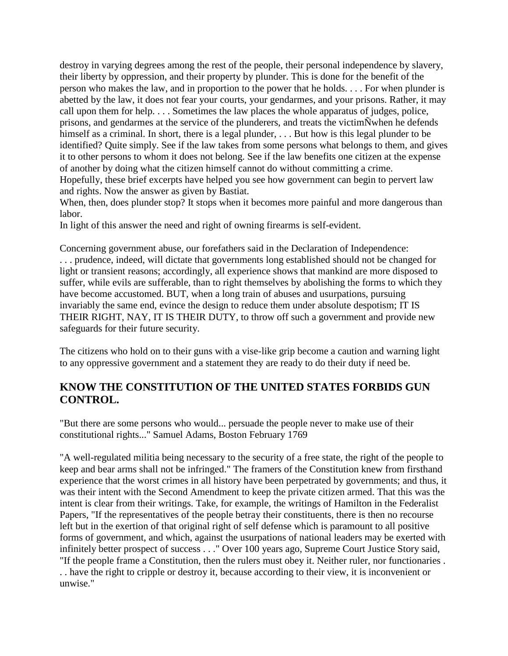destroy in varying degrees among the rest of the people, their personal independence by slavery, their liberty by oppression, and their property by plunder. This is done for the benefit of the person who makes the law, and in proportion to the power that he holds. . . . For when plunder is abetted by the law, it does not fear your courts, your gendarmes, and your prisons. Rather, it may call upon them for help. . . . Sometimes the law places the whole apparatus of judges, police, prisons, and gendarmes at the service of the plunderers, and treats the victimÑwhen he defends himself as a criminal. In short, there is a legal plunder, ... But how is this legal plunder to be identified? Quite simply. See if the law takes from some persons what belongs to them, and gives it to other persons to whom it does not belong. See if the law benefits one citizen at the expense of another by doing what the citizen himself cannot do without committing a crime. Hopefully, these brief excerpts have helped you see how government can begin to pervert law and rights. Now the answer as given by Bastiat.

When, then, does plunder stop? It stops when it becomes more painful and more dangerous than labor.

In light of this answer the need and right of owning firearms is self-evident.

Concerning government abuse, our forefathers said in the Declaration of Independence: . . . prudence, indeed, will dictate that governments long established should not be changed for light or transient reasons; accordingly, all experience shows that mankind are more disposed to suffer, while evils are sufferable, than to right themselves by abolishing the forms to which they have become accustomed. BUT, when a long train of abuses and usurpations, pursuing invariably the same end, evince the design to reduce them under absolute despotism; IT IS THEIR RIGHT, NAY, IT IS THEIR DUTY, to throw off such a government and provide new safeguards for their future security.

The citizens who hold on to their guns with a vise-like grip become a caution and warning light to any oppressive government and a statement they are ready to do their duty if need be.

#### **KNOW THE CONSTITUTION OF THE UNITED STATES FORBIDS GUN CONTROL.**

"But there are some persons who would... persuade the people never to make use of their constitutional rights..." Samuel Adams, Boston February 1769

"A well-regulated militia being necessary to the security of a free state, the right of the people to keep and bear arms shall not be infringed." The framers of the Constitution knew from firsthand experience that the worst crimes in all history have been perpetrated by governments; and thus, it was their intent with the Second Amendment to keep the private citizen armed. That this was the intent is clear from their writings. Take, for example, the writings of Hamilton in the Federalist Papers, "If the representatives of the people betray their constituents, there is then no recourse left but in the exertion of that original right of self defense which is paramount to all positive forms of government, and which, against the usurpations of national leaders may be exerted with infinitely better prospect of success . . ." Over 100 years ago, Supreme Court Justice Story said, "If the people frame a Constitution, then the rulers must obey it. Neither ruler, nor functionaries .

. . have the right to cripple or destroy it, because according to their view, it is inconvenient or unwise."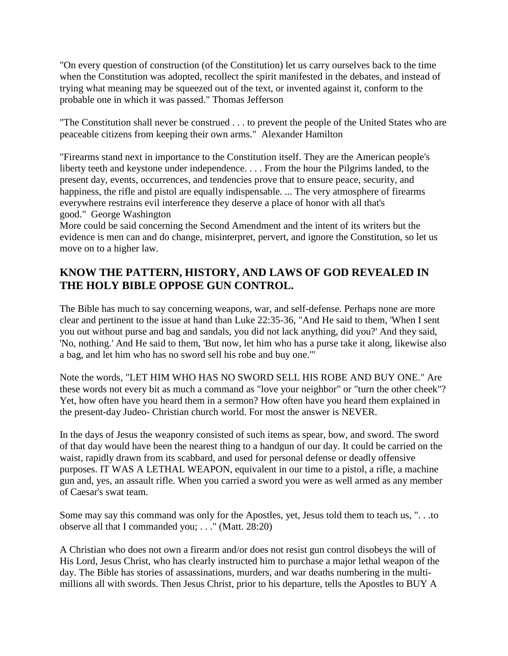"On every question of construction (of the Constitution) let us carry ourselves back to the time when the Constitution was adopted, recollect the spirit manifested in the debates, and instead of trying what meaning may be squeezed out of the text, or invented against it, conform to the probable one in which it was passed." Thomas Jefferson

"The Constitution shall never be construed . . . to prevent the people of the United States who are peaceable citizens from keeping their own arms." Alexander Hamilton

"Firearms stand next in importance to the Constitution itself. They are the American people's liberty teeth and keystone under independence. . . . From the hour the Pilgrims landed, to the present day, events, occurrences, and tendencies prove that to ensure peace, security, and happiness, the rifle and pistol are equally indispensable. ... The very atmosphere of firearms everywhere restrains evil interference they deserve a place of honor with all that's good." George Washington

More could be said concerning the Second Amendment and the intent of its writers but the evidence is men can and do change, misinterpret, pervert, and ignore the Constitution, so let us move on to a higher law.

#### **KNOW THE PATTERN, HISTORY, AND LAWS OF GOD REVEALED IN THE HOLY BIBLE OPPOSE GUN CONTROL.**

The Bible has much to say concerning weapons, war, and self-defense. Perhaps none are more clear and pertinent to the issue at hand than Luke 22:35-36, "And He said to them, 'When I sent you out without purse and bag and sandals, you did not lack anything, did you?' And they said, 'No, nothing.' And He said to them, 'But now, let him who has a purse take it along, likewise also a bag, and let him who has no sword sell his robe and buy one.'"

Note the words, "LET HIM WHO HAS NO SWORD SELL HIS ROBE AND BUY ONE." Are these words not every bit as much a command as "love your neighbor" or "turn the other cheek"? Yet, how often have you heard them in a sermon? How often have you heard them explained in the present-day Judeo- Christian church world. For most the answer is NEVER.

In the days of Jesus the weaponry consisted of such items as spear, bow, and sword. The sword of that day would have been the nearest thing to a handgun of our day. It could be carried on the waist, rapidly drawn from its scabbard, and used for personal defense or deadly offensive purposes. IT WAS A LETHAL WEAPON, equivalent in our time to a pistol, a rifle, a machine gun and, yes, an assault rifle. When you carried a sword you were as well armed as any member of Caesar's swat team.

Some may say this command was only for the Apostles, yet, Jesus told them to teach us, ". . .to observe all that I commanded you; . . ." (Matt. 28:20)

A Christian who does not own a firearm and/or does not resist gun control disobeys the will of His Lord, Jesus Christ, who has clearly instructed him to purchase a major lethal weapon of the day. The Bible has stories of assassinations, murders, and war deaths numbering in the multimillions all with swords. Then Jesus Christ, prior to his departure, tells the Apostles to BUY A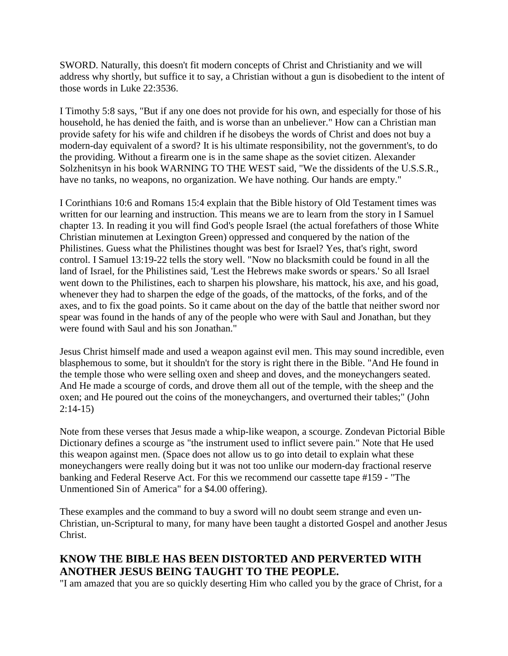SWORD. Naturally, this doesn't fit modern concepts of Christ and Christianity and we will address why shortly, but suffice it to say, a Christian without a gun is disobedient to the intent of those words in Luke 22:3536.

I Timothy 5:8 says, "But if any one does not provide for his own, and especially for those of his household, he has denied the faith, and is worse than an unbeliever." How can a Christian man provide safety for his wife and children if he disobeys the words of Christ and does not buy a modern-day equivalent of a sword? It is his ultimate responsibility, not the government's, to do the providing. Without a firearm one is in the same shape as the soviet citizen. Alexander Solzhenitsyn in his book WARNING TO THE WEST said, "We the dissidents of the U.S.S.R., have no tanks, no weapons, no organization. We have nothing. Our hands are empty."

I Corinthians 10:6 and Romans 15:4 explain that the Bible history of Old Testament times was written for our learning and instruction. This means we are to learn from the story in I Samuel chapter 13. In reading it you will find God's people Israel (the actual forefathers of those White Christian minutemen at Lexington Green) oppressed and conquered by the nation of the Philistines. Guess what the Philistines thought was best for Israel? Yes, that's right, sword control. I Samuel 13:19-22 tells the story well. "Now no blacksmith could be found in all the land of Israel, for the Philistines said, 'Lest the Hebrews make swords or spears.' So all Israel went down to the Philistines, each to sharpen his plowshare, his mattock, his axe, and his goad, whenever they had to sharpen the edge of the goads, of the mattocks, of the forks, and of the axes, and to fix the goad points. So it came about on the day of the battle that neither sword nor spear was found in the hands of any of the people who were with Saul and Jonathan, but they were found with Saul and his son Jonathan."

Jesus Christ himself made and used a weapon against evil men. This may sound incredible, even blasphemous to some, but it shouldn't for the story is right there in the Bible. "And He found in the temple those who were selling oxen and sheep and doves, and the moneychangers seated. And He made a scourge of cords, and drove them all out of the temple, with the sheep and the oxen; and He poured out the coins of the moneychangers, and overturned their tables;" (John 2:14-15)

Note from these verses that Jesus made a whip-like weapon, a scourge. Zondevan Pictorial Bible Dictionary defines a scourge as "the instrument used to inflict severe pain." Note that He used this weapon against men. (Space does not allow us to go into detail to explain what these moneychangers were really doing but it was not too unlike our modern-day fractional reserve banking and Federal Reserve Act. For this we recommend our cassette tape #159 - "The Unmentioned Sin of America" for a \$4.00 offering).

These examples and the command to buy a sword will no doubt seem strange and even un-Christian, un-Scriptural to many, for many have been taught a distorted Gospel and another Jesus Christ.

#### **KNOW THE BIBLE HAS BEEN DISTORTED AND PERVERTED WITH ANOTHER JESUS BEING TAUGHT TO THE PEOPLE.**

"I am amazed that you are so quickly deserting Him who called you by the grace of Christ, for a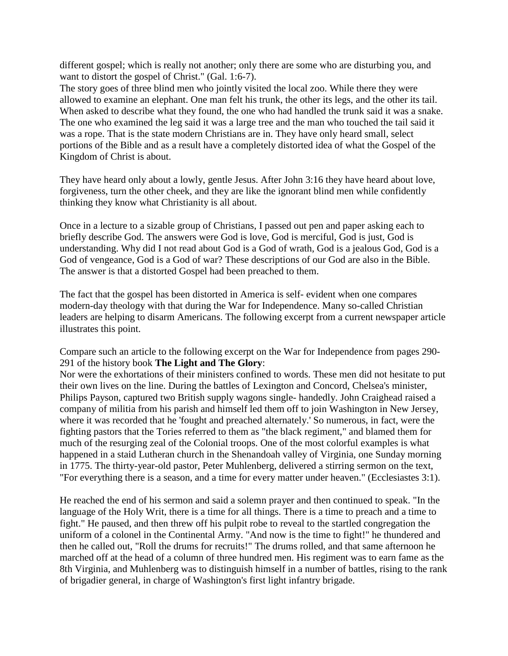different gospel; which is really not another; only there are some who are disturbing you, and want to distort the gospel of Christ." (Gal. 1:6-7).

The story goes of three blind men who jointly visited the local zoo. While there they were allowed to examine an elephant. One man felt his trunk, the other its legs, and the other its tail. When asked to describe what they found, the one who had handled the trunk said it was a snake. The one who examined the leg said it was a large tree and the man who touched the tail said it was a rope. That is the state modern Christians are in. They have only heard small, select portions of the Bible and as a result have a completely distorted idea of what the Gospel of the Kingdom of Christ is about.

They have heard only about a lowly, gentle Jesus. After John 3:16 they have heard about love, forgiveness, turn the other cheek, and they are like the ignorant blind men while confidently thinking they know what Christianity is all about.

Once in a lecture to a sizable group of Christians, I passed out pen and paper asking each to briefly describe God. The answers were God is love, God is merciful, God is just, God is understanding. Why did I not read about God is a God of wrath, God is a jealous God, God is a God of vengeance, God is a God of war? These descriptions of our God are also in the Bible. The answer is that a distorted Gospel had been preached to them.

The fact that the gospel has been distorted in America is self- evident when one compares modern-day theology with that during the War for Independence. Many so-called Christian leaders are helping to disarm Americans. The following excerpt from a current newspaper article illustrates this point.

Compare such an article to the following excerpt on the War for Independence from pages 290- 291 of the history book **The Light and The Glory**:

Nor were the exhortations of their ministers confined to words. These men did not hesitate to put their own lives on the line. During the battles of Lexington and Concord, Chelsea's minister, Philips Payson, captured two British supply wagons single- handedly. John Craighead raised a company of militia from his parish and himself led them off to join Washington in New Jersey, where it was recorded that he 'fought and preached alternately.' So numerous, in fact, were the fighting pastors that the Tories referred to them as "the black regiment," and blamed them for much of the resurging zeal of the Colonial troops. One of the most colorful examples is what happened in a staid Lutheran church in the Shenandoah valley of Virginia, one Sunday morning in 1775. The thirty-year-old pastor, Peter Muhlenberg, delivered a stirring sermon on the text, "For everything there is a season, and a time for every matter under heaven." (Ecclesiastes 3:1).

He reached the end of his sermon and said a solemn prayer and then continued to speak. "In the language of the Holy Writ, there is a time for all things. There is a time to preach and a time to fight." He paused, and then threw off his pulpit robe to reveal to the startled congregation the uniform of a colonel in the Continental Army. "And now is the time to fight!" he thundered and then he called out, "Roll the drums for recruits!" The drums rolled, and that same afternoon he marched off at the head of a column of three hundred men. His regiment was to earn fame as the 8th Virginia, and Muhlenberg was to distinguish himself in a number of battles, rising to the rank of brigadier general, in charge of Washington's first light infantry brigade.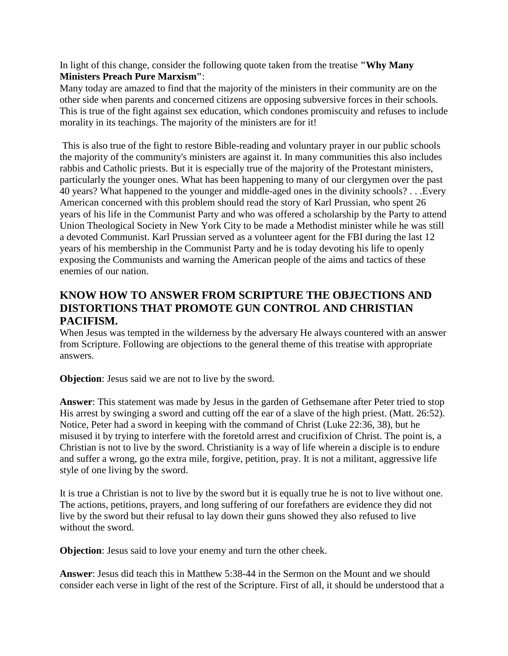In light of this change, consider the following quote taken from the treatise **"Why Many Ministers Preach Pure Marxism"**:

Many today are amazed to find that the majority of the ministers in their community are on the other side when parents and concerned citizens are opposing subversive forces in their schools. This is true of the fight against sex education, which condones promiscuity and refuses to include morality in its teachings. The majority of the ministers are for it!

This is also true of the fight to restore Bible-reading and voluntary prayer in our public schools the majority of the community's ministers are against it. In many communities this also includes rabbis and Catholic priests. But it is especially true of the majority of the Protestant ministers, particularly the younger ones. What has been happening to many of our clergymen over the past 40 years? What happened to the younger and middle-aged ones in the divinity schools? . . .Every American concerned with this problem should read the story of Karl Prussian, who spent 26 years of his life in the Communist Party and who was offered a scholarship by the Party to attend Union Theological Society in New York City to be made a Methodist minister while he was still a devoted Communist. Karl Prussian served as a volunteer agent for the FBI during the last 12 years of his membership in the Communist Party and he is today devoting his life to openly exposing the Communists and warning the American people of the aims and tactics of these enemies of our nation.

#### **KNOW HOW TO ANSWER FROM SCRIPTURE THE OBJECTIONS AND DISTORTIONS THAT PROMOTE GUN CONTROL AND CHRISTIAN PACIFISM.**

When Jesus was tempted in the wilderness by the adversary He always countered with an answer from Scripture. Following are objections to the general theme of this treatise with appropriate answers.

**Objection**: Jesus said we are not to live by the sword.

**Answer**: This statement was made by Jesus in the garden of Gethsemane after Peter tried to stop His arrest by swinging a sword and cutting off the ear of a slave of the high priest. (Matt. 26:52). Notice, Peter had a sword in keeping with the command of Christ (Luke 22:36, 38), but he misused it by trying to interfere with the foretold arrest and crucifixion of Christ. The point is, a Christian is not to live by the sword. Christianity is a way of life wherein a disciple is to endure and suffer a wrong, go the extra mile, forgive, petition, pray. It is not a militant, aggressive life style of one living by the sword.

It is true a Christian is not to live by the sword but it is equally true he is not to live without one. The actions, petitions, prayers, and long suffering of our forefathers are evidence they did not live by the sword but their refusal to lay down their guns showed they also refused to live without the sword.

**Objection**: Jesus said to love your enemy and turn the other cheek.

**Answer**: Jesus did teach this in Matthew 5:38-44 in the Sermon on the Mount and we should consider each verse in light of the rest of the Scripture. First of all, it should be understood that a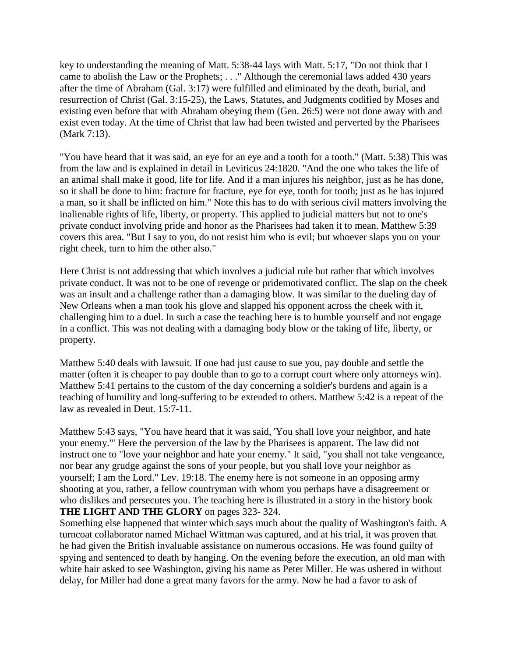key to understanding the meaning of Matt. 5:38-44 lays with Matt. 5:17, "Do not think that I came to abolish the Law or the Prophets; . . ." Although the ceremonial laws added 430 years after the time of Abraham (Gal. 3:17) were fulfilled and eliminated by the death, burial, and resurrection of Christ (Gal. 3:15-25), the Laws, Statutes, and Judgments codified by Moses and existing even before that with Abraham obeying them (Gen. 26:5) were not done away with and exist even today. At the time of Christ that law had been twisted and perverted by the Pharisees (Mark 7:13).

"You have heard that it was said, an eye for an eye and a tooth for a tooth." (Matt. 5:38) This was from the law and is explained in detail in Leviticus 24:1820. "And the one who takes the life of an animal shall make it good, life for life. And if a man injures his neighbor, just as he has done, so it shall be done to him: fracture for fracture, eye for eye, tooth for tooth; just as he has injured a man, so it shall be inflicted on him." Note this has to do with serious civil matters involving the inalienable rights of life, liberty, or property. This applied to judicial matters but not to one's private conduct involving pride and honor as the Pharisees had taken it to mean. Matthew 5:39 covers this area. "But I say to you, do not resist him who is evil; but whoever slaps you on your right cheek, turn to him the other also."

Here Christ is not addressing that which involves a judicial rule but rather that which involves private conduct. It was not to be one of revenge or pridemotivated conflict. The slap on the cheek was an insult and a challenge rather than a damaging blow. It was similar to the dueling day of New Orleans when a man took his glove and slapped his opponent across the cheek with it, challenging him to a duel. In such a case the teaching here is to humble yourself and not engage in a conflict. This was not dealing with a damaging body blow or the taking of life, liberty, or property.

Matthew 5:40 deals with lawsuit. If one had just cause to sue you, pay double and settle the matter (often it is cheaper to pay double than to go to a corrupt court where only attorneys win). Matthew 5:41 pertains to the custom of the day concerning a soldier's burdens and again is a teaching of humility and long-suffering to be extended to others. Matthew 5:42 is a repeat of the law as revealed in Deut. 15:7-11.

Matthew 5:43 says, "You have heard that it was said, 'You shall love your neighbor, and hate your enemy.'" Here the perversion of the law by the Pharisees is apparent. The law did not instruct one to "love your neighbor and hate your enemy." It said, "you shall not take vengeance, nor bear any grudge against the sons of your people, but you shall love your neighbor as yourself; I am the Lord." Lev. 19:18. The enemy here is not someone in an opposing army shooting at you, rather, a fellow countryman with whom you perhaps have a disagreement or who dislikes and persecutes you. The teaching here is illustrated in a story in the history book **THE LIGHT AND THE GLORY** on pages 323- 324.

Something else happened that winter which says much about the quality of Washington's faith. A turncoat collaborator named Michael Wittman was captured, and at his trial, it was proven that he had given the British invaluable assistance on numerous occasions. He was found guilty of spying and sentenced to death by hanging. On the evening before the execution, an old man with white hair asked to see Washington, giving his name as Peter Miller. He was ushered in without delay, for Miller had done a great many favors for the army. Now he had a favor to ask of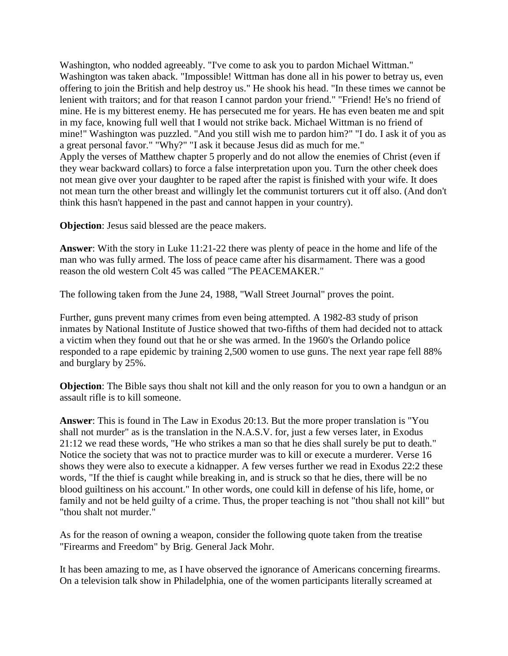Washington, who nodded agreeably. "I've come to ask you to pardon Michael Wittman." Washington was taken aback. "Impossible! Wittman has done all in his power to betray us, even offering to join the British and help destroy us." He shook his head. "In these times we cannot be lenient with traitors; and for that reason I cannot pardon your friend." "Friend! He's no friend of mine. He is my bitterest enemy. He has persecuted me for years. He has even beaten me and spit in my face, knowing full well that I would not strike back. Michael Wittman is no friend of mine!" Washington was puzzled. "And you still wish me to pardon him?" "I do. I ask it of you as a great personal favor." "Why?" "I ask it because Jesus did as much for me." Apply the verses of Matthew chapter 5 properly and do not allow the enemies of Christ (even if they wear backward collars) to force a false interpretation upon you. Turn the other cheek does not mean give over your daughter to be raped after the rapist is finished with your wife. It does not mean turn the other breast and willingly let the communist torturers cut it off also. (And don't think this hasn't happened in the past and cannot happen in your country).

**Objection**: Jesus said blessed are the peace makers.

**Answer**: With the story in Luke 11:21-22 there was plenty of peace in the home and life of the man who was fully armed. The loss of peace came after his disarmament. There was a good reason the old western Colt 45 was called "The PEACEMAKER."

The following taken from the June 24, 1988, "Wall Street Journal" proves the point.

Further, guns prevent many crimes from even being attempted. A 1982-83 study of prison inmates by National Institute of Justice showed that two-fifths of them had decided not to attack a victim when they found out that he or she was armed. In the 1960's the Orlando police responded to a rape epidemic by training 2,500 women to use guns. The next year rape fell 88% and burglary by 25%.

**Objection**: The Bible says thou shalt not kill and the only reason for you to own a handgun or an assault rifle is to kill someone.

**Answer**: This is found in The Law in Exodus 20:13. But the more proper translation is "You shall not murder" as is the translation in the N.A.S.V. for, just a few verses later, in Exodus 21:12 we read these words, "He who strikes a man so that he dies shall surely be put to death." Notice the society that was not to practice murder was to kill or execute a murderer. Verse 16 shows they were also to execute a kidnapper. A few verses further we read in Exodus 22:2 these words, "If the thief is caught while breaking in, and is struck so that he dies, there will be no blood guiltiness on his account." In other words, one could kill in defense of his life, home, or family and not be held guilty of a crime. Thus, the proper teaching is not "thou shall not kill" but "thou shalt not murder."

As for the reason of owning a weapon, consider the following quote taken from the treatise "Firearms and Freedom" by Brig. General Jack Mohr.

It has been amazing to me, as I have observed the ignorance of Americans concerning firearms. On a television talk show in Philadelphia, one of the women participants literally screamed at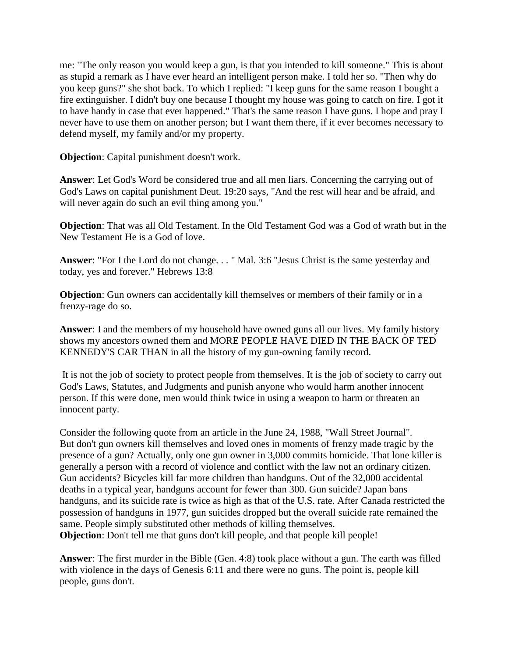me: "The only reason you would keep a gun, is that you intended to kill someone." This is about as stupid a remark as I have ever heard an intelligent person make. I told her so. "Then why do you keep guns?" she shot back. To which I replied: "I keep guns for the same reason I bought a fire extinguisher. I didn't buy one because I thought my house was going to catch on fire. I got it to have handy in case that ever happened." That's the same reason I have guns. I hope and pray I never have to use them on another person; but I want them there, if it ever becomes necessary to defend myself, my family and/or my property.

**Objection**: Capital punishment doesn't work.

**Answer**: Let God's Word be considered true and all men liars. Concerning the carrying out of God's Laws on capital punishment Deut. 19:20 says, "And the rest will hear and be afraid, and will never again do such an evil thing among you."

**Objection**: That was all Old Testament. In the Old Testament God was a God of wrath but in the New Testament He is a God of love.

**Answer**: "For I the Lord do not change. . . " Mal. 3:6 "Jesus Christ is the same yesterday and today, yes and forever." Hebrews 13:8

**Objection**: Gun owners can accidentally kill themselves or members of their family or in a frenzy-rage do so.

**Answer**: I and the members of my household have owned guns all our lives. My family history shows my ancestors owned them and MORE PEOPLE HAVE DIED IN THE BACK OF TED KENNEDY'S CAR THAN in all the history of my gun-owning family record.

It is not the job of society to protect people from themselves. It is the job of society to carry out God's Laws, Statutes, and Judgments and punish anyone who would harm another innocent person. If this were done, men would think twice in using a weapon to harm or threaten an innocent party.

Consider the following quote from an article in the June 24, 1988, "Wall Street Journal". But don't gun owners kill themselves and loved ones in moments of frenzy made tragic by the presence of a gun? Actually, only one gun owner in 3,000 commits homicide. That lone killer is generally a person with a record of violence and conflict with the law not an ordinary citizen. Gun accidents? Bicycles kill far more children than handguns. Out of the 32,000 accidental deaths in a typical year, handguns account for fewer than 300. Gun suicide? Japan bans handguns, and its suicide rate is twice as high as that of the U.S. rate. After Canada restricted the possession of handguns in 1977, gun suicides dropped but the overall suicide rate remained the same. People simply substituted other methods of killing themselves. **Objection**: Don't tell me that guns don't kill people, and that people kill people!

**Answer**: The first murder in the Bible (Gen. 4:8) took place without a gun. The earth was filled with violence in the days of Genesis 6:11 and there were no guns. The point is, people kill people, guns don't.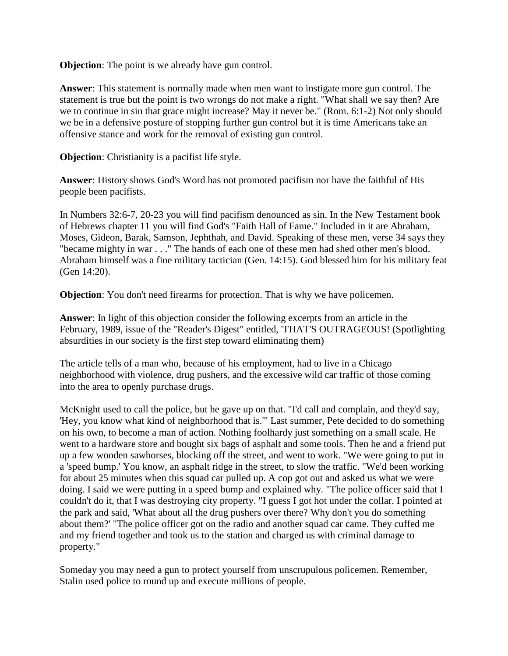**Objection**: The point is we already have gun control.

**Answer**: This statement is normally made when men want to instigate more gun control. The statement is true but the point is two wrongs do not make a right. "What shall we say then? Are we to continue in sin that grace might increase? May it never be." (Rom. 6:1-2) Not only should we be in a defensive posture of stopping further gun control but it is time Americans take an offensive stance and work for the removal of existing gun control.

**Objection:** Christianity is a pacifist life style.

**Answer**: History shows God's Word has not promoted pacifism nor have the faithful of His people been pacifists.

In Numbers 32:6-7, 20-23 you will find pacifism denounced as sin. In the New Testament book of Hebrews chapter 11 you will find God's "Faith Hall of Fame." Included in it are Abraham, Moses, Gideon, Barak, Samson, Jephthah, and David. Speaking of these men, verse 34 says they "became mighty in war . . ." The hands of each one of these men had shed other men's blood. Abraham himself was a fine military tactician (Gen. 14:15). God blessed him for his military feat (Gen 14:20).

**Objection**: You don't need firearms for protection. That is why we have policemen.

**Answer**: In light of this objection consider the following excerpts from an article in the February, 1989, issue of the "Reader's Digest" entitled, 'THAT'S OUTRAGEOUS! (Spotlighting absurdities in our society is the first step toward eliminating them)

The article tells of a man who, because of his employment, had to live in a Chicago neighborhood with violence, drug pushers, and the excessive wild car traffic of those coming into the area to openly purchase drugs.

McKnight used to call the police, but he gave up on that. "I'd call and complain, and they'd say, 'Hey, you know what kind of neighborhood that is.'" Last summer, Pete decided to do something on his own, to become a man of action. Nothing foolhardy just something on a small scale. He went to a hardware store and bought six bags of asphalt and some tools. Then he and a friend put up a few wooden sawhorses, blocking off the street, and went to work. "We were going to put in a 'speed bump.' You know, an asphalt ridge in the street, to slow the traffic. "We'd been working for about 25 minutes when this squad car pulled up. A cop got out and asked us what we were doing. I said we were putting in a speed bump and explained why. "The police officer said that I couldn't do it, that I was destroying city property. "I guess I got hot under the collar. I pointed at the park and said, 'What about all the drug pushers over there? Why don't you do something about them?' "The police officer got on the radio and another squad car came. They cuffed me and my friend together and took us to the station and charged us with criminal damage to property."

Someday you may need a gun to protect yourself from unscrupulous policemen. Remember, Stalin used police to round up and execute millions of people.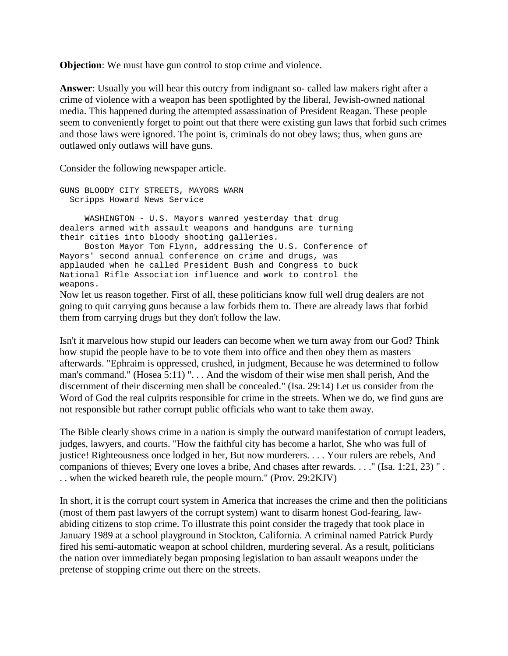**Objection**: We must have gun control to stop crime and violence.

**Answer**: Usually you will hear this outcry from indignant so- called law makers right after a crime of violence with a weapon has been spotlighted by the liberal, Jewish-owned national media. This happened during the attempted assassination of President Reagan. These people seem to conveniently forget to point out that there were existing gun laws that forbid such crimes and those laws were ignored. The point is, criminals do not obey laws; thus, when guns are outlawed only outlaws will have guns.

Consider the following newspaper article.

GUNS BLOODY CITY STREETS, MAYORS WARN Scripps Howard News Service WASHINGTON - U.S. Mayors wanred yesterday that drug dealers armed with assault weapons and handguns are turning their cities into bloody shooting galleries. Boston Mayor Tom Flynn, addressing the U.S. Conference of Mayors' second annual conference on crime and drugs, was applauded when he called President Bush and Congress to buck National Rifle Association influence and work to control the weapons. Now let us reason together. First of all, these politicians know full well drug dealers are not going to quit carrying guns because a law forbids them to. There are already laws that forbid them from carrying drugs but they don't follow the law.

Isn't it marvelous how stupid our leaders can become when we turn away from our God? Think how stupid the people have to be to vote them into office and then obey them as masters afterwards. "Ephraim is oppressed, crushed, in judgment, Because he was determined to follow man's command." (Hosea 5:11) ". . . And the wisdom of their wise men shall perish, And the discernment of their discerning men shall be concealed." (Isa. 29:14) Let us consider from the Word of God the real culprits responsible for crime in the streets. When we do, we find guns are not responsible but rather corrupt public officials who want to take them away.

The Bible clearly shows crime in a nation is simply the outward manifestation of corrupt leaders, judges, lawyers, and courts. "How the faithful city has become a harlot, She who was full of justice! Righteousness once lodged in her, But now murderers. . . . Your rulers are rebels, And companions of thieves; Every one loves a bribe, And chases after rewards. . . ." (Isa. 1:21, 23) " . . . when the wicked beareth rule, the people mourn." (Prov. 29:2KJV)

In short, it is the corrupt court system in America that increases the crime and then the politicians (most of them past lawyers of the corrupt system) want to disarm honest God-fearing, lawabiding citizens to stop crime. To illustrate this point consider the tragedy that took place in January 1989 at a school playground in Stockton, California. A criminal named Patrick Purdy fired his semi-automatic weapon at school children, murdering several. As a result, politicians the nation over immediately began proposing legislation to ban assault weapons under the pretense of stopping crime out there on the streets.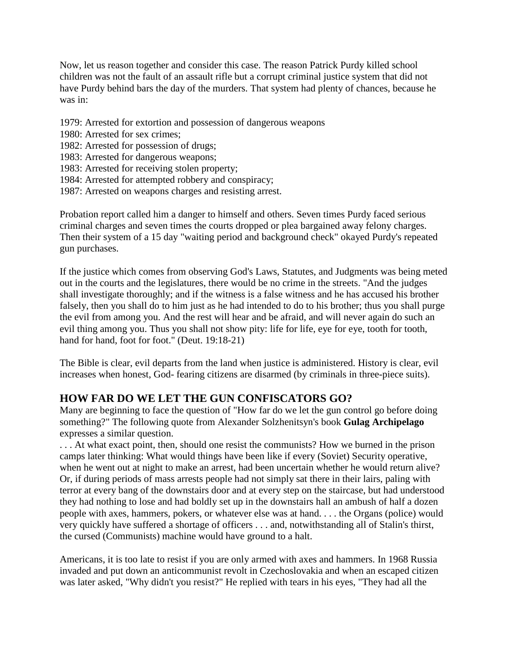Now, let us reason together and consider this case. The reason Patrick Purdy killed school children was not the fault of an assault rifle but a corrupt criminal justice system that did not have Purdy behind bars the day of the murders. That system had plenty of chances, because he was in:

- 1979: Arrested for extortion and possession of dangerous weapons
- 1980: Arrested for sex crimes;
- 1982: Arrested for possession of drugs;
- 1983: Arrested for dangerous weapons;
- 1983: Arrested for receiving stolen property;
- 1984: Arrested for attempted robbery and conspiracy;
- 1987: Arrested on weapons charges and resisting arrest.

Probation report called him a danger to himself and others. Seven times Purdy faced serious criminal charges and seven times the courts dropped or plea bargained away felony charges. Then their system of a 15 day "waiting period and background check" okayed Purdy's repeated gun purchases.

If the justice which comes from observing God's Laws, Statutes, and Judgments was being meted out in the courts and the legislatures, there would be no crime in the streets. "And the judges shall investigate thoroughly; and if the witness is a false witness and he has accused his brother falsely, then you shall do to him just as he had intended to do to his brother; thus you shall purge the evil from among you. And the rest will hear and be afraid, and will never again do such an evil thing among you. Thus you shall not show pity: life for life, eye for eye, tooth for tooth, hand for hand, foot for foot." (Deut. 19:18-21)

The Bible is clear, evil departs from the land when justice is administered. History is clear, evil increases when honest, God- fearing citizens are disarmed (by criminals in three-piece suits).

#### **HOW FAR DO WE LET THE GUN CONFISCATORS GO?**

Many are beginning to face the question of "How far do we let the gun control go before doing something?" The following quote from Alexander Solzhenitsyn's book **Gulag Archipelago** expresses a similar question.

. . . At what exact point, then, should one resist the communists? How we burned in the prison camps later thinking: What would things have been like if every (Soviet) Security operative, when he went out at night to make an arrest, had been uncertain whether he would return alive? Or, if during periods of mass arrests people had not simply sat there in their lairs, paling with terror at every bang of the downstairs door and at every step on the staircase, but had understood they had nothing to lose and had boldly set up in the downstairs hall an ambush of half a dozen people with axes, hammers, pokers, or whatever else was at hand. . . . the Organs (police) would very quickly have suffered a shortage of officers . . . and, notwithstanding all of Stalin's thirst, the cursed (Communists) machine would have ground to a halt.

Americans, it is too late to resist if you are only armed with axes and hammers. In 1968 Russia invaded and put down an anticommunist revolt in Czechoslovakia and when an escaped citizen was later asked, "Why didn't you resist?" He replied with tears in his eyes, "They had all the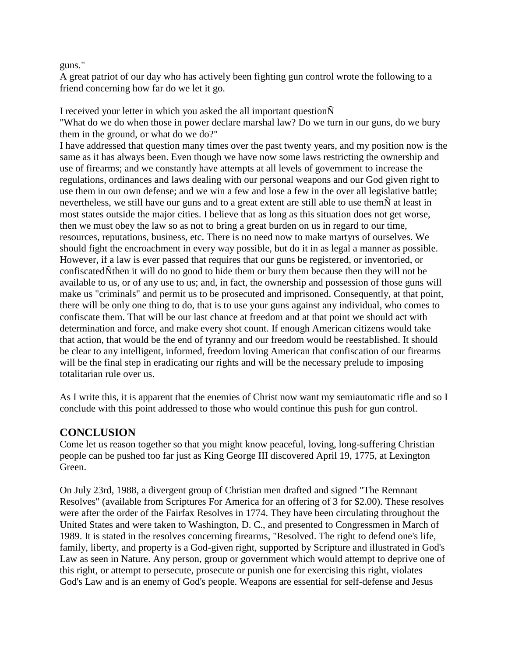guns."

A great patriot of our day who has actively been fighting gun control wrote the following to a friend concerning how far do we let it go.

I received your letter in which you asked the all important questionÑ "What do we do when those in power declare marshal law? Do we turn in our guns, do we bury them in the ground, or what do we do?"

I have addressed that question many times over the past twenty years, and my position now is the same as it has always been. Even though we have now some laws restricting the ownership and use of firearms; and we constantly have attempts at all levels of government to increase the regulations, ordinances and laws dealing with our personal weapons and our God given right to use them in our own defense; and we win a few and lose a few in the over all legislative battle; nevertheless, we still have our guns and to a great extent are still able to use themÑ at least in most states outside the major cities. I believe that as long as this situation does not get worse, then we must obey the law so as not to bring a great burden on us in regard to our time, resources, reputations, business, etc. There is no need now to make martyrs of ourselves. We should fight the encroachment in every way possible, but do it in as legal a manner as possible. However, if a law is ever passed that requires that our guns be registered, or inventoried, or confiscatedÑthen it will do no good to hide them or bury them because then they will not be available to us, or of any use to us; and, in fact, the ownership and possession of those guns will make us "criminals" and permit us to be prosecuted and imprisoned. Consequently, at that point, there will be only one thing to do, that is to use your guns against any individual, who comes to confiscate them. That will be our last chance at freedom and at that point we should act with determination and force, and make every shot count. If enough American citizens would take that action, that would be the end of tyranny and our freedom would be reestablished. It should be clear to any intelligent, informed, freedom loving American that confiscation of our firearms will be the final step in eradicating our rights and will be the necessary prelude to imposing totalitarian rule over us.

As I write this, it is apparent that the enemies of Christ now want my semiautomatic rifle and so I conclude with this point addressed to those who would continue this push for gun control.

#### **CONCLUSION**

Come let us reason together so that you might know peaceful, loving, long-suffering Christian people can be pushed too far just as King George III discovered April 19, 1775, at Lexington Green.

On July 23rd, 1988, a divergent group of Christian men drafted and signed "The Remnant Resolves" (available from Scriptures For America for an offering of 3 for \$2.00). These resolves were after the order of the Fairfax Resolves in 1774. They have been circulating throughout the United States and were taken to Washington, D. C., and presented to Congressmen in March of 1989. It is stated in the resolves concerning firearms, "Resolved. The right to defend one's life, family, liberty, and property is a God-given right, supported by Scripture and illustrated in God's Law as seen in Nature. Any person, group or government which would attempt to deprive one of this right, or attempt to persecute, prosecute or punish one for exercising this right, violates God's Law and is an enemy of God's people. Weapons are essential for self-defense and Jesus